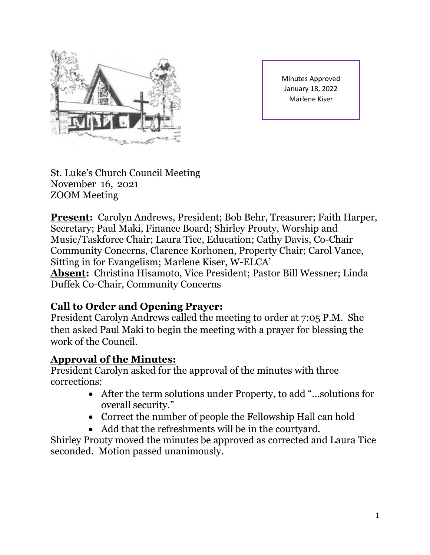

Minutes Approved January 18, 2022 Marlene Kiser

St. Luke's Church Council Meeting November 16, 2021 ZOOM Meeting

**Present:** Carolyn Andrews, President; Bob Behr, Treasurer; Faith Harper, Secretary; Paul Maki, Finance Board; Shirley Prouty, Worship and Music/Taskforce Chair; Laura Tice, Education; Cathy Davis, Co-Chair Community Concerns, Clarence Korhonen, Property Chair; Carol Vance, Sitting in for Evangelism; Marlene Kiser, W-ELCA' **Absent:** Christina Hisamoto, Vice President; Pastor Bill Wessner; Linda Duffek Co-Chair, Community Concerns

## **Call to Order and Opening Prayer:**

President Carolyn Andrews called the meeting to order at 7:05 P.M. She then asked Paul Maki to begin the meeting with a prayer for blessing the work of the Council.

#### **Approval of the Minutes:**

President Carolyn asked for the approval of the minutes with three corrections:

- After the term solutions under Property, to add "…solutions for overall security."
- Correct the number of people the Fellowship Hall can hold
- Add that the refreshments will be in the courtyard.

Shirley Prouty moved the minutes be approved as corrected and Laura Tice seconded. Motion passed unanimously.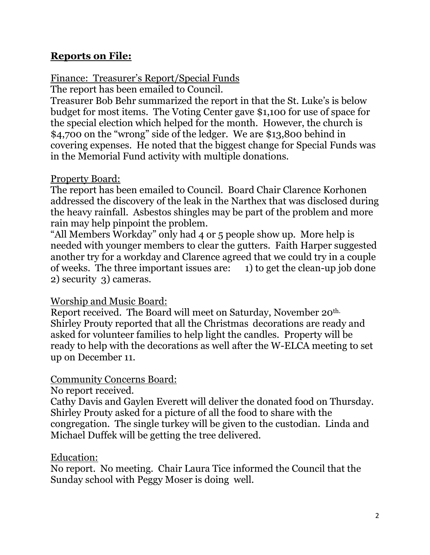#### **Reports on File:**

#### Finance: Treasurer's Report/Special Funds

The report has been emailed to Council.

Treasurer Bob Behr summarized the report in that the St. Luke's is below budget for most items. The Voting Center gave \$1,100 for use of space for the special election which helped for the month. However, the church is \$4,700 on the "wrong" side of the ledger. We are \$13,800 behind in covering expenses. He noted that the biggest change for Special Funds was in the Memorial Fund activity with multiple donations.

#### Property Board:

The report has been emailed to Council. Board Chair Clarence Korhonen addressed the discovery of the leak in the Narthex that was disclosed during the heavy rainfall. Asbestos shingles may be part of the problem and more rain may help pinpoint the problem.

"All Members Workday" only had 4 or 5 people show up. More help is needed with younger members to clear the gutters. Faith Harper suggested another try for a workday and Clarence agreed that we could try in a couple of weeks. The three important issues are: 1) to get the clean-up job done 2) security 3) cameras.

## Worship and Music Board:

Report received. The Board will meet on Saturday, November 20th. Shirley Prouty reported that all the Christmas decorations are ready and asked for volunteer families to help light the candles. Property will be ready to help with the decorations as well after the W-ELCA meeting to set up on December 11.

## Community Concerns Board:

No report received.

Cathy Davis and Gaylen Everett will deliver the donated food on Thursday. Shirley Prouty asked for a picture of all the food to share with the congregation. The single turkey will be given to the custodian. Linda and Michael Duffek will be getting the tree delivered.

## Education:

No report. No meeting. Chair Laura Tice informed the Council that the Sunday school with Peggy Moser is doing well.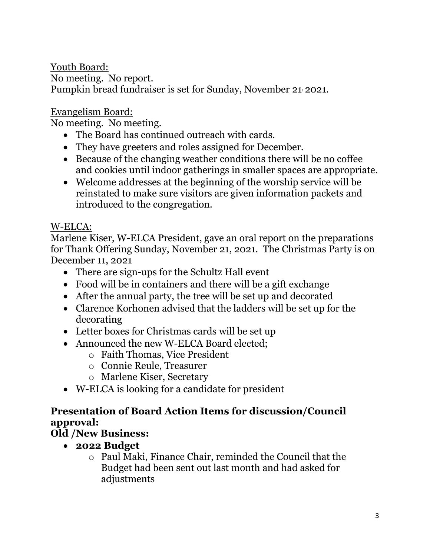Youth Board: No meeting. No report. Pumpkin bread fundraiser is set for Sunday, November 21, 2021.

Evangelism Board:

No meeting. No meeting.

- The Board has continued outreach with cards.
- They have greeters and roles assigned for December.
- Because of the changing weather conditions there will be no coffee and cookies until indoor gatherings in smaller spaces are appropriate.
- Welcome addresses at the beginning of the worship service will be reinstated to make sure visitors are given information packets and introduced to the congregation.

## W-ELCA:

Marlene Kiser, W-ELCA President, gave an oral report on the preparations for Thank Offering Sunday, November 21, 2021. The Christmas Party is on December 11, 2021

- There are sign-ups for the Schultz Hall event
- Food will be in containers and there will be a gift exchange
- After the annual party, the tree will be set up and decorated
- Clarence Korhonen advised that the ladders will be set up for the decorating
- Letter boxes for Christmas cards will be set up
- Announced the new W-ELCA Board elected:
	- o Faith Thomas, Vice President
	- o Connie Reule, Treasurer
	- o Marlene Kiser, Secretary
- W-ELCA is looking for a candidate for president

## **Presentation of Board Action Items for discussion/Council approval:**

# **Old /New Business:**

- **2022 Budget**
	- o Paul Maki, Finance Chair, reminded the Council that the Budget had been sent out last month and had asked for adjustments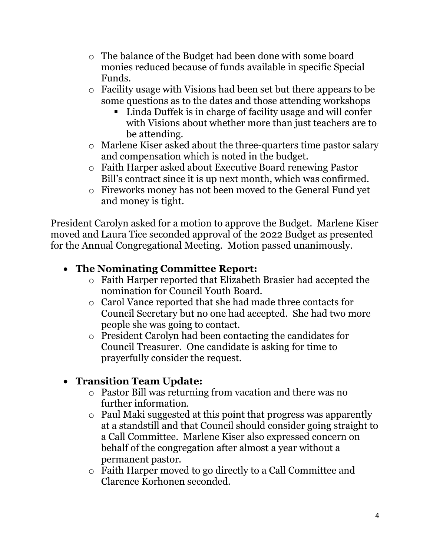- o The balance of the Budget had been done with some board monies reduced because of funds available in specific Special Funds.
- o Facility usage with Visions had been set but there appears to be some questions as to the dates and those attending workshops
	- Linda Duffek is in charge of facility usage and will confer with Visions about whether more than just teachers are to be attending.
- o Marlene Kiser asked about the three-quarters time pastor salary and compensation which is noted in the budget.
- o Faith Harper asked about Executive Board renewing Pastor Bill's contract since it is up next month, which was confirmed.
- o Fireworks money has not been moved to the General Fund yet and money is tight.

President Carolyn asked for a motion to approve the Budget. Marlene Kiser moved and Laura Tice seconded approval of the 2022 Budget as presented for the Annual Congregational Meeting. Motion passed unanimously.

## • **The Nominating Committee Report:**

- o Faith Harper reported that Elizabeth Brasier had accepted the nomination for Council Youth Board.
- o Carol Vance reported that she had made three contacts for Council Secretary but no one had accepted. She had two more people she was going to contact.
- o President Carolyn had been contacting the candidates for Council Treasurer. One candidate is asking for time to prayerfully consider the request.

# • **Transition Team Update:**

- o Pastor Bill was returning from vacation and there was no further information.
- o Paul Maki suggested at this point that progress was apparently at a standstill and that Council should consider going straight to a Call Committee. Marlene Kiser also expressed concern on behalf of the congregation after almost a year without a permanent pastor.
- o Faith Harper moved to go directly to a Call Committee and Clarence Korhonen seconded.